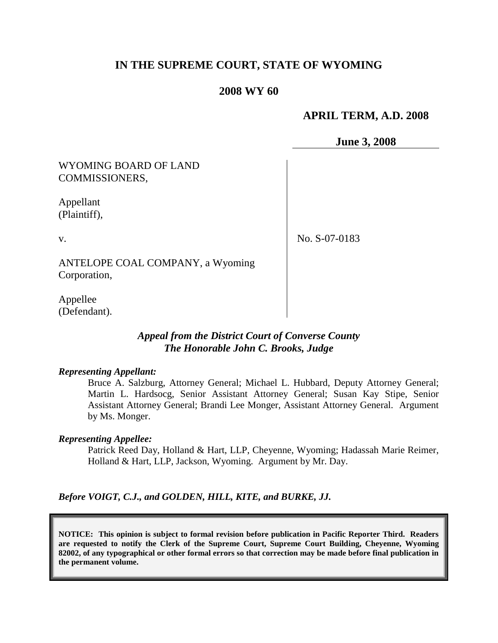# **IN THE SUPREME COURT, STATE OF WYOMING**

### **2008 WY 60**

## **APRIL TERM, A.D. 2008**

**June 3, 2008**

## WYOMING BOARD OF LAND COMMISSIONERS,

Appellant (Plaintiff),

v.

No. S-07-0183

ANTELOPE COAL COMPANY, a Wyoming Corporation,

Appellee (Defendant).

## *Appeal from the District Court of Converse County The Honorable John C. Brooks, Judge*

#### *Representing Appellant:*

Bruce A. Salzburg, Attorney General; Michael L. Hubbard, Deputy Attorney General; Martin L. Hardsocg, Senior Assistant Attorney General; Susan Kay Stipe, Senior Assistant Attorney General; Brandi Lee Monger, Assistant Attorney General. Argument by Ms. Monger.

#### *Representing Appellee:*

Patrick Reed Day, Holland & Hart, LLP, Cheyenne, Wyoming; Hadassah Marie Reimer, Holland & Hart, LLP, Jackson, Wyoming. Argument by Mr. Day.

*Before VOIGT, C.J., and GOLDEN, HILL, KITE, and BURKE, JJ.*

**NOTICE: This opinion is subject to formal revision before publication in Pacific Reporter Third. Readers are requested to notify the Clerk of the Supreme Court, Supreme Court Building, Cheyenne, Wyoming 82002, of any typographical or other formal errors so that correction may be made before final publication in the permanent volume.**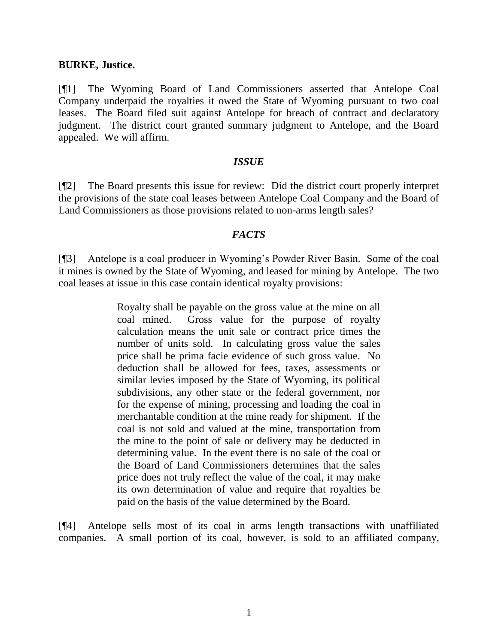### **BURKE, Justice.**

[¶1] The Wyoming Board of Land Commissioners asserted that Antelope Coal Company underpaid the royalties it owed the State of Wyoming pursuant to two coal leases. The Board filed suit against Antelope for breach of contract and declaratory judgment. The district court granted summary judgment to Antelope, and the Board appealed. We will affirm.

### *ISSUE*

[¶2] The Board presents this issue for review: Did the district court properly interpret the provisions of the state coal leases between Antelope Coal Company and the Board of Land Commissioners as those provisions related to non-arms length sales?

### *FACTS*

[¶3] Antelope is a coal producer in Wyoming's Powder River Basin. Some of the coal it mines is owned by the State of Wyoming, and leased for mining by Antelope. The two coal leases at issue in this case contain identical royalty provisions:

> Royalty shall be payable on the gross value at the mine on all coal mined. Gross value for the purpose of royalty calculation means the unit sale or contract price times the number of units sold. In calculating gross value the sales price shall be prima facie evidence of such gross value. No deduction shall be allowed for fees, taxes, assessments or similar levies imposed by the State of Wyoming, its political subdivisions, any other state or the federal government, nor for the expense of mining, processing and loading the coal in merchantable condition at the mine ready for shipment. If the coal is not sold and valued at the mine, transportation from the mine to the point of sale or delivery may be deducted in determining value. In the event there is no sale of the coal or the Board of Land Commissioners determines that the sales price does not truly reflect the value of the coal, it may make its own determination of value and require that royalties be paid on the basis of the value determined by the Board.

[¶4] Antelope sells most of its coal in arms length transactions with unaffiliated companies. A small portion of its coal, however, is sold to an affiliated company,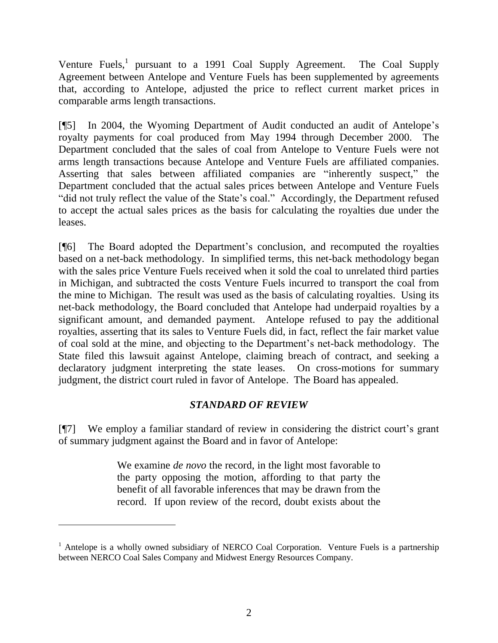Venture Fuels,<sup>1</sup> pursuant to a 1991 Coal Supply Agreement. The Coal Supply Agreement between Antelope and Venture Fuels has been supplemented by agreements that, according to Antelope, adjusted the price to reflect current market prices in comparable arms length transactions.

[¶5] In 2004, the Wyoming Department of Audit conducted an audit of Antelope's royalty payments for coal produced from May 1994 through December 2000. The Department concluded that the sales of coal from Antelope to Venture Fuels were not arms length transactions because Antelope and Venture Fuels are affiliated companies. Asserting that sales between affiliated companies are "inherently suspect," the Department concluded that the actual sales prices between Antelope and Venture Fuels "did not truly reflect the value of the State's coal." Accordingly, the Department refused to accept the actual sales prices as the basis for calculating the royalties due under the leases.

[¶6] The Board adopted the Department's conclusion, and recomputed the royalties based on a net-back methodology. In simplified terms, this net-back methodology began with the sales price Venture Fuels received when it sold the coal to unrelated third parties in Michigan, and subtracted the costs Venture Fuels incurred to transport the coal from the mine to Michigan. The result was used as the basis of calculating royalties. Using its net-back methodology, the Board concluded that Antelope had underpaid royalties by a significant amount, and demanded payment. Antelope refused to pay the additional royalties, asserting that its sales to Venture Fuels did, in fact, reflect the fair market value of coal sold at the mine, and objecting to the Department's net-back methodology. The State filed this lawsuit against Antelope, claiming breach of contract, and seeking a declaratory judgment interpreting the state leases. On cross-motions for summary judgment, the district court ruled in favor of Antelope. The Board has appealed.

# *STANDARD OF REVIEW*

[¶7] We employ a familiar standard of review in considering the district court's grant of summary judgment against the Board and in favor of Antelope:

> We examine *de novo* the record, in the light most favorable to the party opposing the motion, affording to that party the benefit of all favorable inferences that may be drawn from the record. If upon review of the record, doubt exists about the

 $1$  Antelope is a wholly owned subsidiary of NERCO Coal Corporation. Venture Fuels is a partnership between NERCO Coal Sales Company and Midwest Energy Resources Company.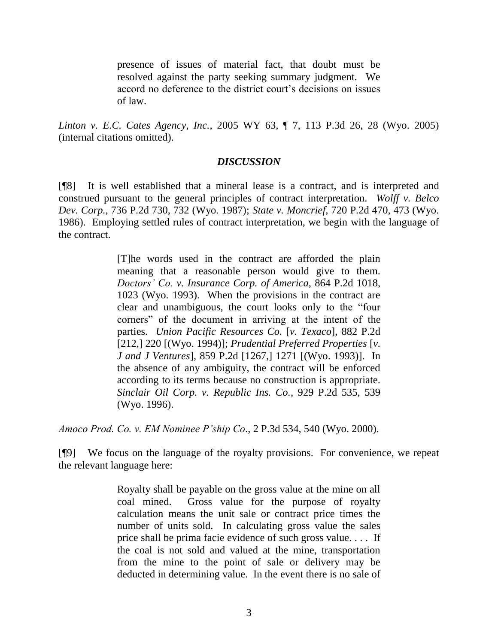presence of issues of material fact, that doubt must be resolved against the party seeking summary judgment. We accord no deference to the district court's decisions on issues of law.

*Linton v. E.C. Cates Agency, Inc.*, 2005 WY 63, ¶ 7, 113 P.3d 26, 28 (Wyo. 2005) (internal citations omitted).

## *DISCUSSION*

[¶8] It is well established that a mineral lease is a contract, and is interpreted and construed pursuant to the general principles of contract interpretation. *Wolff v. Belco Dev. Corp.*, 736 P.2d 730, 732 (Wyo. 1987); *State v. Moncrief,* 720 P.2d 470, 473 (Wyo. 1986). Employing settled rules of contract interpretation, we begin with the language of the contract.

> [T]he words used in the contract are afforded the plain meaning that a reasonable person would give to them. *Doctors' Co. v. Insurance Corp. of America*, 864 P.2d 1018, 1023 (Wyo. 1993). When the provisions in the contract are clear and unambiguous, the court looks only to the "four corners" of the document in arriving at the intent of the parties. *Union Pacific Resources Co.* [*v. Texaco*], 882 P.2d [212,] 220 [(Wyo. 1994)]; *Prudential Preferred Properties* [*v. J and J Ventures*], 859 P.2d [1267,] 1271 [(Wyo. 1993)]. In the absence of any ambiguity, the contract will be enforced according to its terms because no construction is appropriate. *Sinclair Oil Corp. v. Republic Ins. Co.*, 929 P.2d 535, 539 (Wyo. 1996).

*Amoco Prod. Co. v. EM Nominee P'ship Co*., 2 P.3d 534, 540 (Wyo. 2000).

[¶9] We focus on the language of the royalty provisions. For convenience, we repeat the relevant language here:

> Royalty shall be payable on the gross value at the mine on all coal mined. Gross value for the purpose of royalty calculation means the unit sale or contract price times the number of units sold. In calculating gross value the sales price shall be prima facie evidence of such gross value. . . . If the coal is not sold and valued at the mine, transportation from the mine to the point of sale or delivery may be deducted in determining value. In the event there is no sale of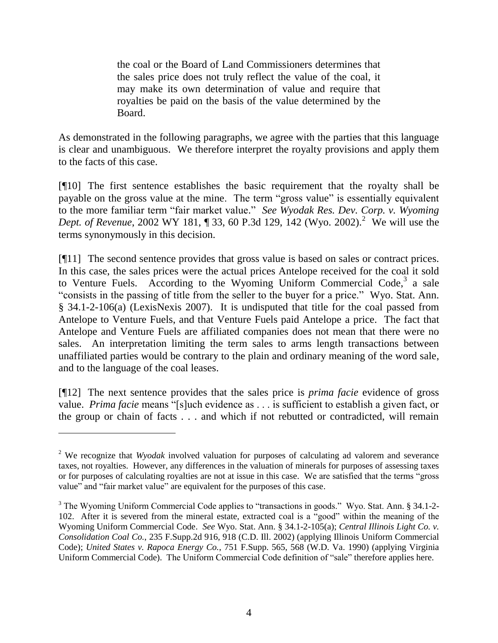the coal or the Board of Land Commissioners determines that the sales price does not truly reflect the value of the coal, it may make its own determination of value and require that royalties be paid on the basis of the value determined by the Board.

As demonstrated in the following paragraphs, we agree with the parties that this language is clear and unambiguous. We therefore interpret the royalty provisions and apply them to the facts of this case.

[¶10] The first sentence establishes the basic requirement that the royalty shall be payable on the gross value at the mine. The term "gross value" is essentially equivalent to the more familiar term "fair market value." *See Wyodak Res. Dev. Corp. v. Wyoming Dept. of Revenue*, 2002 WY 181, 1 33, 60 P.3d 129, 142 (Wyo. 2002).<sup>2</sup> We will use the terms synonymously in this decision.

[¶11] The second sentence provides that gross value is based on sales or contract prices. In this case, the sales prices were the actual prices Antelope received for the coal it sold to Venture Fuels. According to the Wyoming Uniform Commercial Code, $3$  a sale "consists in the passing of title from the seller to the buyer for a price." Wyo. Stat. Ann. § 34.1-2-106(a) (LexisNexis 2007). It is undisputed that title for the coal passed from Antelope to Venture Fuels, and that Venture Fuels paid Antelope a price. The fact that Antelope and Venture Fuels are affiliated companies does not mean that there were no sales. An interpretation limiting the term sales to arms length transactions between unaffiliated parties would be contrary to the plain and ordinary meaning of the word sale, and to the language of the coal leases.

[¶12] The next sentence provides that the sales price is *prima facie* evidence of gross value. *Prima facie* means "[s]uch evidence as . . . is sufficient to establish a given fact, or the group or chain of facts . . . and which if not rebutted or contradicted, will remain

<sup>2</sup> We recognize that *Wyodak* involved valuation for purposes of calculating ad valorem and severance taxes, not royalties. However, any differences in the valuation of minerals for purposes of assessing taxes or for purposes of calculating royalties are not at issue in this case. We are satisfied that the terms "gross value" and "fair market value" are equivalent for the purposes of this case.

<sup>&</sup>lt;sup>3</sup> The Wyoming Uniform Commercial Code applies to "transactions in goods." Wyo. Stat. Ann. § 34.1-2-102. After it is severed from the mineral estate, extracted coal is a "good" within the meaning of the Wyoming Uniform Commercial Code. *See* Wyo. Stat. Ann. § 34.1-2-105(a); *Central Illinois Light Co. v. Consolidation Coal Co.*, 235 F.Supp.2d 916, 918 (C.D. Ill. 2002) (applying Illinois Uniform Commercial Code); *United States v. Rapoca Energy Co.*, 751 F.Supp. 565, 568 (W.D. Va. 1990) (applying Virginia Uniform Commercial Code). The Uniform Commercial Code definition of "sale" therefore applies here.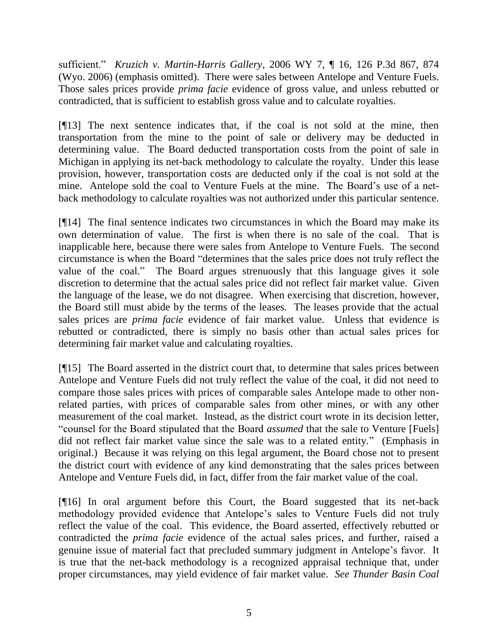sufficient." *Kruzich v. Martin-Harris Gallery*, 2006 WY 7, ¶ 16, 126 P.3d 867, 874 (Wyo. 2006) (emphasis omitted). There were sales between Antelope and Venture Fuels. Those sales prices provide *prima facie* evidence of gross value, and unless rebutted or contradicted, that is sufficient to establish gross value and to calculate royalties.

[¶13] The next sentence indicates that, if the coal is not sold at the mine, then transportation from the mine to the point of sale or delivery may be deducted in determining value. The Board deducted transportation costs from the point of sale in Michigan in applying its net-back methodology to calculate the royalty. Under this lease provision, however, transportation costs are deducted only if the coal is not sold at the mine. Antelope sold the coal to Venture Fuels at the mine. The Board's use of a netback methodology to calculate royalties was not authorized under this particular sentence.

[¶14] The final sentence indicates two circumstances in which the Board may make its own determination of value. The first is when there is no sale of the coal. That is inapplicable here, because there were sales from Antelope to Venture Fuels. The second circumstance is when the Board "determines that the sales price does not truly reflect the value of the coal." The Board argues strenuously that this language gives it sole discretion to determine that the actual sales price did not reflect fair market value. Given the language of the lease, we do not disagree. When exercising that discretion, however, the Board still must abide by the terms of the leases. The leases provide that the actual sales prices are *prima facie* evidence of fair market value. Unless that evidence is rebutted or contradicted, there is simply no basis other than actual sales prices for determining fair market value and calculating royalties.

[¶15] The Board asserted in the district court that, to determine that sales prices between Antelope and Venture Fuels did not truly reflect the value of the coal, it did not need to compare those sales prices with prices of comparable sales Antelope made to other nonrelated parties, with prices of comparable sales from other mines, or with any other measurement of the coal market. Instead, as the district court wrote in its decision letter, "counsel for the Board stipulated that the Board *assumed* that the sale to Venture [Fuels] did not reflect fair market value since the sale was to a related entity." (Emphasis in original.) Because it was relying on this legal argument, the Board chose not to present the district court with evidence of any kind demonstrating that the sales prices between Antelope and Venture Fuels did, in fact, differ from the fair market value of the coal.

[¶16] In oral argument before this Court, the Board suggested that its net-back methodology provided evidence that Antelope's sales to Venture Fuels did not truly reflect the value of the coal. This evidence, the Board asserted, effectively rebutted or contradicted the *prima facie* evidence of the actual sales prices, and further, raised a genuine issue of material fact that precluded summary judgment in Antelope's favor. It is true that the net-back methodology is a recognized appraisal technique that, under proper circumstances, may yield evidence of fair market value. *See Thunder Basin Coal*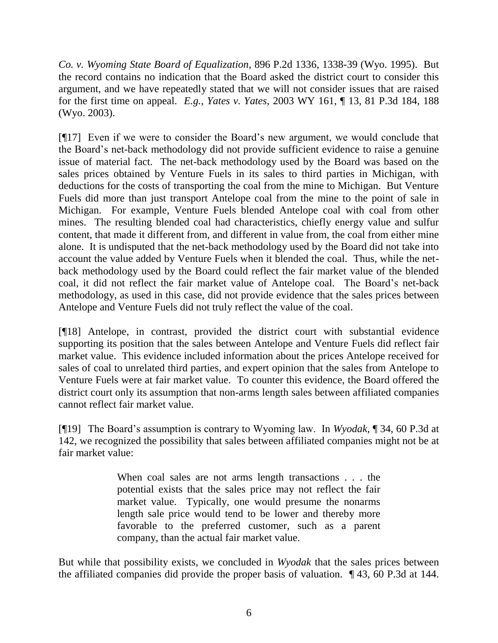*Co. v. Wyoming State Board of Equalization*, 896 P.2d 1336, 1338-39 (Wyo. 1995). But the record contains no indication that the Board asked the district court to consider this argument, and we have repeatedly stated that we will not consider issues that are raised for the first time on appeal. *E.g.*, *Yates v. Yates*, 2003 WY 161, ¶ 13, 81 P.3d 184, 188 (Wyo. 2003).

[¶17] Even if we were to consider the Board's new argument, we would conclude that the Board's net-back methodology did not provide sufficient evidence to raise a genuine issue of material fact. The net-back methodology used by the Board was based on the sales prices obtained by Venture Fuels in its sales to third parties in Michigan, with deductions for the costs of transporting the coal from the mine to Michigan. But Venture Fuels did more than just transport Antelope coal from the mine to the point of sale in Michigan. For example, Venture Fuels blended Antelope coal with coal from other mines. The resulting blended coal had characteristics, chiefly energy value and sulfur content, that made it different from, and different in value from, the coal from either mine alone. It is undisputed that the net-back methodology used by the Board did not take into account the value added by Venture Fuels when it blended the coal. Thus, while the netback methodology used by the Board could reflect the fair market value of the blended coal, it did not reflect the fair market value of Antelope coal. The Board's net-back methodology, as used in this case, did not provide evidence that the sales prices between Antelope and Venture Fuels did not truly reflect the value of the coal.

[¶18] Antelope, in contrast, provided the district court with substantial evidence supporting its position that the sales between Antelope and Venture Fuels did reflect fair market value. This evidence included information about the prices Antelope received for sales of coal to unrelated third parties, and expert opinion that the sales from Antelope to Venture Fuels were at fair market value. To counter this evidence, the Board offered the district court only its assumption that non-arms length sales between affiliated companies cannot reflect fair market value.

[¶19] The Board's assumption is contrary to Wyoming law. In *Wyodak*, ¶ 34, 60 P.3d at 142, we recognized the possibility that sales between affiliated companies might not be at fair market value:

> When coal sales are not arms length transactions . . . the potential exists that the sales price may not reflect the fair market value. Typically, one would presume the nonarms length sale price would tend to be lower and thereby more favorable to the preferred customer, such as a parent company, than the actual fair market value.

But while that possibility exists, we concluded in *Wyodak* that the sales prices between the affiliated companies did provide the proper basis of valuation. ¶ 43, 60 P.3d at 144.